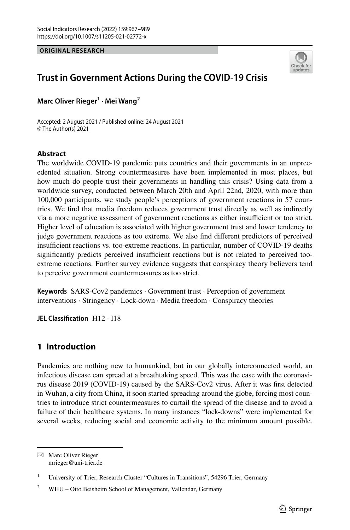**ORIGINAL RESEARCH**



# **Trust in Government Actions During the COVID‑19 Crisis**

**Marc Oliver Rieger1 · Mei Wang2**

Accepted: 2 August 2021 / Published online: 24 August 2021 © The Author(s) 2021

## **Abstract**

The worldwide COVID-19 pandemic puts countries and their governments in an unprecedented situation. Strong countermeasures have been implemented in most places, but how much do people trust their governments in handling this crisis? Using data from a worldwide survey, conducted between March 20th and April 22nd, 2020, with more than 100,000 participants, we study people's perceptions of government reactions in 57 countries. We fnd that media freedom reduces government trust directly as well as indirectly via a more negative assessment of government reactions as either insufficient or too strict. Higher level of education is associated with higher government trust and lower tendency to judge government reactions as too extreme. We also fnd diferent predictors of perceived insufficient reactions vs. too-extreme reactions. In particular, number of COVID-19 deaths significantly predicts perceived insufficient reactions but is not related to perceived tooextreme reactions. Further survey evidence suggests that conspiracy theory believers tend to perceive government countermeasures as too strict.

**Keywords** SARS-Cov2 pandemics · Government trust · Perception of government interventions · Stringency · Lock-down · Media freedom · Conspiracy theories

**JEL Classifcation** H12 · I18

# **1 Introduction**

Pandemics are nothing new to humankind, but in our globally interconnected world, an infectious disease can spread at a breathtaking speed. This was the case with the coronavirus disease 2019 (COVID-19) caused by the SARS-Cov2 virus. After it was frst detected in Wuhan, a city from China, it soon started spreading around the globe, forcing most countries to introduce strict countermeasures to curtail the spread of the disease and to avoid a failure of their healthcare systems. In many instances "lock-downs" were implemented for several weeks, reducing social and economic activity to the minimum amount possible.

 $\boxtimes$  Marc Oliver Rieger mrieger@uni-trier.de

<sup>&</sup>lt;sup>1</sup> University of Trier, Research Cluster "Cultures in Transitions", 54296 Trier, Germany

<sup>&</sup>lt;sup>2</sup> WHU – Otto Beisheim School of Management, Vallendar, Germany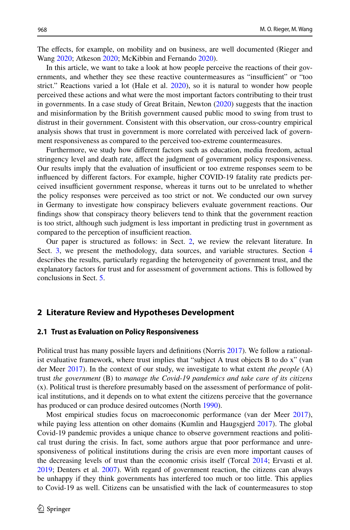The efects, for example, on mobility and on business, are well documented (Rieger and Wang [2020](#page-21-0); Atkeson [2020](#page-20-0); McKibbin and Fernando [2020](#page-21-1)).

In this article, we want to take a look at how people perceive the reactions of their governments, and whether they see these reactive countermeasures as "insufficient" or "too strict." Reactions varied a lot (Hale et al. [2020\)](#page-21-2), so it is natural to wonder how people perceived these actions and what were the most important factors contributing to their trust in governments. In a case study of Great Britain, Newton [\(2020](#page-21-3)) suggests that the inaction and misinformation by the British government caused public mood to swing from trust to distrust in their government. Consistent with this observation, our cross-country empirical analysis shows that trust in government is more correlated with perceived lack of government responsiveness as compared to the perceived too-extreme countermeasures.

Furthermore, we study how diferent factors such as education, media freedom, actual stringency level and death rate, afect the judgment of government policy responsiveness. Our results imply that the evaluation of insufficient or too extreme responses seem to be infuenced by diferent factors. For example, higher COVID-19 fatality rate predicts perceived insufficient government response, whereas it turns out to be unrelated to whether the policy responses were perceived as too strict or not. We conducted our own survey in Germany to investigate how conspiracy believers evaluate government reactions. Our fndings show that conspiracy theory believers tend to think that the government reaction is too strict, although such judgment is less important in predicting trust in government as compared to the perception of insufficient reaction.

Our paper is structured as follows: in Sect. [2,](#page-1-0) we review the relevant literature. In Sect. [3,](#page-4-0) we present the methodology, data sources, and variable structures. Section [4](#page-9-0) describes the results, particularly regarding the heterogeneity of government trust, and the explanatory factors for trust and for assessment of government actions. This is followed by conclusions in Sect. [5.](#page-19-0)

### <span id="page-1-0"></span>**2 Literature Review and Hypotheses Development**

#### **2.1 Trust as Evaluation on Policy Responsiveness**

Political trust has many possible layers and defnitions (Norris [2017](#page-21-4)). We follow a rationalist evaluative framework, where trust implies that "subject A trust objects B to do x" (van der Meer [2017\)](#page-22-0). In the context of our study, we investigate to what extent *the people* (A) trust *the government* (B) to *manage the Covid-19 pandemics and take care of its citizens* (x). Political trust is therefore presumably based on the assessment of performance of political institutions, and it depends on to what extent the citizens perceive that the governance has produced or can produce desired outcomes (North [1990\)](#page-21-5).

Most empirical studies focus on macroeconomic performance (van der Meer [2017](#page-22-0)), while paying less attention on other domains (Kumlin and Haugsgjerd [2017](#page-21-6)). The global Covid-19 pandemic provides a unique chance to observe government reactions and political trust during the crisis. In fact, some authors argue that poor performance and unresponsiveness of political institutions during the crisis are even more important causes of the decreasing levels of trust than the economic crisis itself (Torcal [2014](#page-21-7); Ervasti et al. [2019;](#page-21-8) Denters et al. [2007\)](#page-21-9). With regard of government reaction, the citizens can always be unhappy if they think governments has interfered too much or too little. This applies to Covid-19 as well. Citizens can be unsatisfed with the lack of countermeasures to stop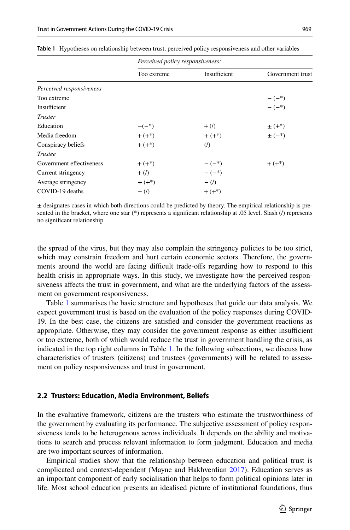|                          | Perceived policy responsiveness: |                                    |                  |
|--------------------------|----------------------------------|------------------------------------|------------------|
|                          | Too extreme                      | Insufficient                       | Government trust |
| Perceived responsiveness |                                  |                                    |                  |
| Too extreme              |                                  |                                    | $-(-^{*})$       |
| Insufficient             |                                  |                                    | $-(-^{*})$       |
| <b>Truster</b>           |                                  |                                    |                  |
| Education                | $-(-^{*})$                       | $+$ (/)                            | $\pm (+^{*})$    |
| Media freedom            | $+(+)$                           | $+ (+^{*})$                        | $\pm$ (-*)       |
| Conspiracy beliefs       | $+(+)$                           | $\left(\frac{\hbar}{\hbar}\right)$ |                  |
| <b>Trustee</b>           |                                  |                                    |                  |
| Government effectiveness | $+(+)$                           | $-(-^{*})$                         | $+(+*)$          |
| Current stringency       | $+$ (/)                          | $-(-^{*})$                         |                  |
| Average stringency       | $+ (+*)$                         | $- (1)$                            |                  |
| COVID-19 deaths          | $-$ (/)                          | $+(+)$                             |                  |
|                          |                                  |                                    |                  |

<span id="page-2-0"></span>**Table 1** Hypotheses on relationship between trust, perceived policy responsiveness and other variables

 $\pm$  designates cases in which both directions could be predicted by theory. The empirical relationship is presented in the bracket, where one star (\*) represents a signifcant relationship at .05 level. Slash (/) represents no signifcant relationship

the spread of the virus, but they may also complain the stringency policies to be too strict, which may constrain freedom and hurt certain economic sectors. Therefore, the governments around the world are facing difficult trade-offs regarding how to respond to this health crisis in appropriate ways. In this study, we investigate how the perceived responsiveness affects the trust in government, and what are the underlying factors of the assessment on government responsiveness.

Table [1](#page-2-0) summarises the basic structure and hypotheses that guide our data analysis. We expect government trust is based on the evaluation of the policy responses during COVID-19. In the best case, the citizens are satisfed and consider the government reactions as appropriate. Otherwise, they may consider the government response as either insufficient or too extreme, both of which would reduce the trust in government handling the crisis, as indicated in the top right columns in Table [1](#page-2-0). In the following subsections, we discuss how characteristics of trusters (citizens) and trustees (governments) will be related to assessment on policy responsiveness and trust in government.

#### **2.2 Trusters: Education, Media Environment, Beliefs**

In the evaluative framework, citizens are the trusters who estimate the trustworthiness of the government by evaluating its performance. The subjective assessment of policy responsiveness tends to be heterogenous across individuals. It depends on the ability and motivations to search and process relevant information to form judgment. Education and media are two important sources of information.

Empirical studies show that the relationship between education and political trust is complicated and context-dependent (Mayne and Hakhverdian [2017](#page-21-10)). Education serves as an important component of early socialisation that helps to form political opinions later in life. Most school education presents an idealised picture of institutional foundations, thus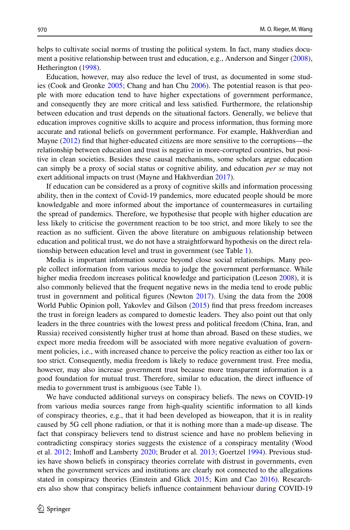helps to cultivate social norms of trusting the political system. In fact, many studies document a positive relationship between trust and education, e.g., Anderson and Singer [\(2008](#page-20-1)), Hetherington ([1998\)](#page-21-11).

Education, however, may also reduce the level of trust, as documented in some studies (Cook and Gronke [2005](#page-20-2); Chang and han Chu [2006\)](#page-20-3). The potential reason is that people with more education tend to have higher expectations of government performance, and consequently they are more critical and less satisfed. Furthermore, the relationship between education and trust depends on the situational factors. Generally, we believe that education improves cognitive skills to acquire and process information, thus forming more accurate and rational beliefs on government performance. For example, Hakhverdian and Mayne ([2012\)](#page-21-12) fnd that higher-educated citizens are more sensitive to the corruptions—the relationship between education and trust is negative in more-corrupted countries, but positive in clean societies. Besides these causal mechanisms, some scholars argue education can simply be a proxy of social status or cognitive ability, and education *per se* may not exert additional impacts on trust (Mayne and Hakhverdian [2017](#page-21-10)).

If education can be considered as a proxy of cognitive skills and information processing ability, then in the context of Covid-19 pandemics, more educated people should be more knowledgable and more informed about the importance of countermeasures in curtailing the spread of pandemics. Therefore, we hypothesise that people with higher education are less likely to criticise the government reaction to be too strict, and more likely to see the reaction as no sufficient. Given the above literature on ambiguous relationship between education and political trust, we do not have a straightforward hypothesis on the direct relationship between education level and trust in government (see Table [1](#page-2-0)).

Media is important information source beyond close social relationships. Many people collect information from various media to judge the government performance. While higher media freedom increases political knowledge and participation (Leeson [2008\)](#page-21-13), it is also commonly believed that the frequent negative news in the media tend to erode public trust in government and political fgures (Newton [2017](#page-21-14)). Using the data from the 2008 World Public Opinion poll, Yakovlev and Gilson ([2015\)](#page-22-1) fnd that press freedom increases the trust in foreign leaders as compared to domestic leaders. They also point out that only leaders in the three countries with the lowest press and political freedom (China, Iran, and Russia) received consistently higher trust at home than abroad. Based on these studies, we expect more media freedom will be associated with more negative evaluation of government policies, i.e., with increased chance to perceive the policy reaction as either too lax or too strict. Consequently, media freedom is likely to reduce government trust. Free media, however, may also increase government trust because more transparent information is a good foundation for mutual trust. Therefore, similar to education, the direct infuence of media to government trust is ambiguous (see Table [1\)](#page-2-0).

We have conducted additional surveys on conspiracy beliefs. The news on COVID-19 from various media sources range from high-quality scientifc information to all kinds of conspiracy theories, e.g., that it had been developed as bioweapon, that it is in reality caused by 5G cell phone radiation, or that it is nothing more than a made-up disease. The fact that conspiracy believers tend to distrust science and have no problem believing in contradicting conspiracy stories suggests the existence of a conspiracy mentality (Wood et al. [2012;](#page-22-2) Imhoff and Lamberty [2020;](#page-21-15) Bruder et al. [2013](#page-20-4); Goertzel [1994\)](#page-21-16). Previous studies have shown beliefs in conspiracy theories correlate with distrust in governments, even when the government services and institutions are clearly not connected to the allegations stated in conspiracy theories (Einstein and Glick [2015;](#page-21-17) Kim and Cao [2016\)](#page-21-18). Researchers also show that conspiracy beliefs infuence containment behaviour during COVID-19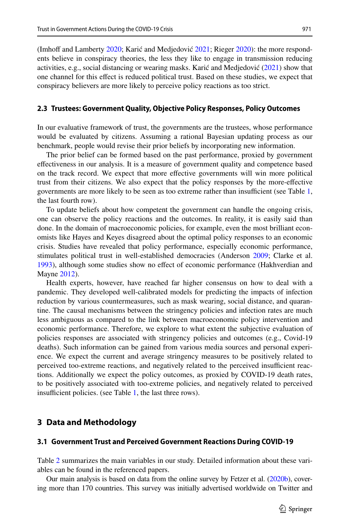(Imhoff and Lamberty [2020;](#page-21-15) Karić and Medjedović [2021;](#page-21-19) Rieger [2020](#page-21-20)): the more respondents believe in conspiracy theories, the less they like to engage in transmission reducing activities, e.g., social distancing or wearing masks. Karić and Medjedović ([2021\)](#page-21-19) show that one channel for this efect is reduced political trust. Based on these studies, we expect that conspiracy believers are more likely to perceive policy reactions as too strict.

#### **2.3 Trustees: Government Quality, Objective Policy Responses, Policy Outcomes**

In our evaluative framework of trust, the governments are the trustees, whose performance would be evaluated by citizens. Assuming a rational Bayesian updating process as our benchmark, people would revise their prior beliefs by incorporating new information.

The prior belief can be formed based on the past performance, proxied by government efectiveness in our analysis. It is a measure of government quality and competence based on the track record. We expect that more efective governments will win more political trust from their citizens. We also expect that the policy responses by the more-efective governments are more likely to be seen as too extreme rather than insufficient (see Table [1](#page-2-0), the last fourth row).

To update beliefs about how competent the government can handle the ongoing crisis, one can observe the policy reactions and the outcomes. In reality, it is easily said than done. In the domain of macroeconomic policies, for example, even the most brilliant economists like Hayes and Keyes disagreed about the optimal policy responses to an economic crisis. Studies have revealed that policy performance, especially economic performance, stimulates political trust in well-established democracies (Anderson [2009;](#page-20-5) Clarke et al. [1993\)](#page-20-6), although some studies show no efect of economic performance (Hakhverdian and Mayne [2012](#page-21-12)).

Health experts, however, have reached far higher consensus on how to deal with a pandemic. They developed well-calibrated models for predicting the impacts of infection reduction by various countermeasures, such as mask wearing, social distance, and quarantine. The causal mechanisms between the stringency policies and infection rates are much less ambiguous as compared to the link between macroeconomic policy intervention and economic performance. Therefore, we explore to what extent the subjective evaluation of policies responses are associated with stringency policies and outcomes (e.g., Covid-19 deaths). Such information can be gained from various media sources and personal experience. We expect the current and average stringency measures to be positively related to perceived too-extreme reactions, and negatively related to the perceived insufficient reactions. Additionally we expect the policy outcomes, as proxied by COVID-19 death rates, to be positively associated with too-extreme policies, and negatively related to perceived insufficient policies. (see Table  $1$ , the last three rows).

# <span id="page-4-0"></span>**3 Data and Methodology**

#### **3.1 Government Trust and Perceived Government Reactions During COVID‑19**

Table [2](#page-5-0) summarizes the main variables in our study. Detailed information about these variables can be found in the referenced papers.

Our main analysis is based on data from the online survey by Fetzer et al. ([2020b\)](#page-21-21), covering more than 170 countries. This survey was initially advertised worldwide on Twitter and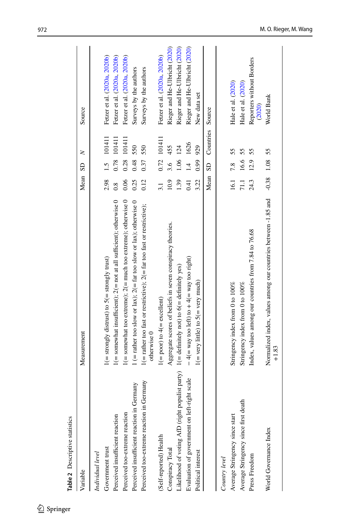<span id="page-5-0"></span>

| $\sim$ $\sim$ $\sim$ $\sim$ $\sim$ $\sim$ $\sim$ $\sim$                                          |                                                                                             |                 |      |                          |                                     |
|--------------------------------------------------------------------------------------------------|---------------------------------------------------------------------------------------------|-----------------|------|--------------------------|-------------------------------------|
| Variable                                                                                         | Measurement                                                                                 | Mean SD         |      | z                        | Source                              |
| Individual level                                                                                 |                                                                                             |                 |      |                          |                                     |
| Government trust                                                                                 | $1 (=$ strongly distrust) to $5 (=$ strongly trust)                                         | 2.98            |      | 1.5 101411               | Fetzer et al. (2020a, 2020b)        |
| Perceived insufficient reaction                                                                  | $1 (=$ somewhat insufficient); $2 (=$ not at all sufficient); otherwise 0                   | 0.8             |      | 0.78 101411              | Fetzer et al. (2020a, 2020b)        |
| Perceived too-extreme reaction                                                                   | $1 (=$ somewhat too extreme); $2 (=$ much too extreme); otherwise 0                         | 0.06            | 0.28 | 101411                   | Fetzer et al. (2020a, 2020b)        |
| Perceived insufficient reaction in Germany                                                       | 1 (= rather too slow or lax); $2($ = far too slow or lax); otherwise 0                      | 0.25            | 0.48 | 550                      | Surveys by the authors              |
| Perceived too-extreme reaction in Germany                                                        | $1$ (= rather too fast or restrictive); $2$ (= far too fast or restrictive);<br>otherwise 0 | 0.12            | 0.37 | 550                      | Surveys by the authors              |
| (Self-reported) Health                                                                           | $1 (= poor)$ to $4 (= excellent)$                                                           | 3.1             |      | 0.72 101411              | Fetzer et al. (2020a, 2020b)        |
| Conspiracy Total                                                                                 | Aggregate scores of beliefs in seven conspiracy theories.                                   | 10.9            | 3.6  | 455                      | Rieger and He-Ulbricht (2020)       |
| Likelihood of voting AfD (right populist party) $1 (=$ definitely not) to $6 (=$ definitely yes) |                                                                                             | 1.39            | 1.06 | 124                      | Rieger and He-Ulbricht (2020)       |
| Evaluation of government on left-right scale                                                     | $-4$ (= way too left) to $+4$ (= way too right)                                             | 0.41            | 1.4  | 1626                     | Rieger and He-Ulbricht (2020)       |
| Political interest                                                                               | $1($ = very little) to $5($ = very much)                                                    | 3.22            | 0.99 | 929                      | New data set                        |
|                                                                                                  |                                                                                             |                 |      | Mean SD Countries Source |                                     |
| Country level                                                                                    |                                                                                             |                 |      |                          |                                     |
| Average Stringency since start                                                                   | Stringency index from 0 to 100%                                                             | 16.1            | 7.8  | 55                       | Hale et al. (2020)                  |
| Average Stringency since first death                                                             | Stringency index from 0 to 100%                                                             | 71.1            | 16.6 | 55                       | Hale et al. (2020)                  |
| Press Freedom                                                                                    | Index, values among our countries from 7.84 to 76.68                                        | 24.3            | 12.9 | 55                       | Reporters without Borders<br>(2020) |
| World Governance Index                                                                           | Normalized index, values among our countries between -1.85 and<br>$+1.83$                   | $-0.38$ 1.08 55 |      |                          | World Bank                          |
|                                                                                                  |                                                                                             |                 |      |                          |                                     |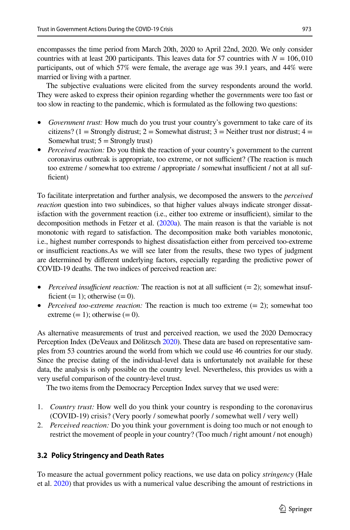encompasses the time period from March 20th, 2020 to April 22nd, 2020. We only consider countries with at least 200 participants. This leaves data for 57 countries with  $N = 106,010$ participants, out of which 57% were female, the average age was 39.1 years, and 44% were married or living with a partner.

The subjective evaluations were elicited from the survey respondents around the world. They were asked to express their opinion regarding whether the governments were too fast or too slow in reacting to the pandemic, which is formulated as the following two questions:

- *Government trust:* How much do you trust your country's government to take care of its citizens? (1 = Strongly distrust; 2 = Somewhat distrust; 3 = Neither trust nor distrust; 4 = Somewhat trust;  $5 =$  Strongly trust)
- *Perceived reaction:* Do you think the reaction of your country's government to the current coronavirus outbreak is appropriate, too extreme, or not sufficient? (The reaction is much too extreme / somewhat too extreme / appropriate / somewhat insufficient / not at all sufficient)

To facilitate interpretation and further analysis, we decomposed the answers to the *perceived reaction* question into two subindices, so that higher values always indicate stronger dissatisfaction with the government reaction (i.e., either too extreme or insufficient), similar to the decomposition methods in Fetzer et al. [\(2020a\)](#page-21-22). The main reason is that the variable is not monotonic with regard to satisfaction. The decomposition make both variables monotonic, i.e., highest number corresponds to highest dissatisfaction either from perceived too-extreme or insufcient reactions.As we will see later from the results, these two types of judgment are determined by diferent underlying factors, especially regarding the predictive power of COVID-19 deaths. The two indices of perceived reaction are:

- *Perceived insufficient reaction:* The reaction is not at all sufficient  $(= 2)$ ; somewhat insufficient  $(= 1)$ ; otherwise  $(= 0)$ .
- *Perceived too-extreme reaction:* The reaction is much too extreme (= 2); somewhat too extreme  $(= 1)$ ; otherwise  $(= 0)$ .

As alternative measurements of trust and perceived reaction, we used the 2020 Democracy Perception Index (DeVeaux and Dölitzsch [2020\)](#page-21-25). These data are based on representative samples from 53 countries around the world from which we could use 46 countries for our study. Since the precise dating of the individual-level data is unfortunately not available for these data, the analysis is only possible on the country level. Nevertheless, this provides us with a very useful comparison of the country-level trust.

The two items from the Democracy Perception Index survey that we used were:

- 1. *Country trust:* How well do you think your country is responding to the coronavirus (COVID-19) crisis? (Very poorly / somewhat poorly / somewhat well / very well)
- 2. *Perceived reaction:* Do you think your government is doing too much or not enough to restrict the movement of people in your country? (Too much / right amount / not enough)

# **3.2 Policy Stringency and Death Rates**

To measure the actual government policy reactions, we use data on policy *stringency* (Hale et al. [2020](#page-21-2)) that provides us with a numerical value describing the amount of restrictions in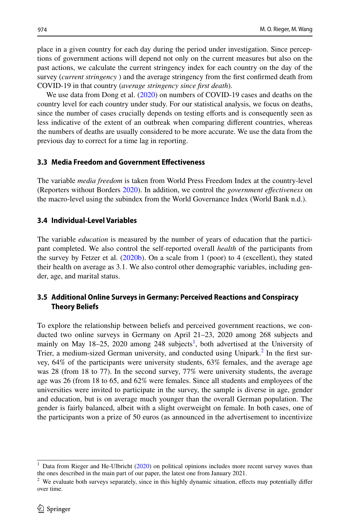place in a given country for each day during the period under investigation. Since perceptions of government actions will depend not only on the current measures but also on the past actions, we calculate the current stringency index for each country on the day of the survey (*current stringency* ) and the average stringency from the frst confrmed death from COVID-19 in that country (*average stringency since frst death*).

We use data from Dong et al. ([2020\)](#page-21-26) on numbers of COVID-19 cases and deaths on the country level for each country under study. For our statistical analysis, we focus on deaths, since the number of cases crucially depends on testing efforts and is consequently seen as less indicative of the extent of an outbreak when comparing diferent countries, whereas the numbers of deaths are usually considered to be more accurate. We use the data from the previous day to correct for a time lag in reporting.

## **3.3 Media Freedom and Government Efectiveness**

The variable *media freedom* is taken from World Press Freedom Index at the country-level (Reporters without Borders [2020](#page-21-24)). In addition, we control the *government efectiveness* on the macro-level using the subindex from the World Governance Index (World Bank n.d.).

## **3.4 Individual‑Level Variables**

The variable *education* is measured by the number of years of education that the participant completed. We also control the self-reported overall *health* of the participants from the survey by Fetzer et al. [\(2020b](#page-21-21)). On a scale from 1 (poor) to 4 (excellent), they stated their health on average as 3.1. We also control other demographic variables, including gender, age, and marital status.

# **3.5 Additional Online Surveys in Germany: Perceived Reactions and Conspiracy Theory Beliefs**

To explore the relationship between beliefs and perceived government reactions, we conducted two online surveys in Germany on April 21–23, 2020 among 268 subjects and mainly on May 18–25, 2020 among 248 subjects<sup>1</sup>, both advertised at the University of Trier, a medium-sized German university, and conducted using Unipark.<sup>[2](#page-7-1)</sup> In the first survey, 64% of the participants were university students, 63% females, and the average age was 28 (from 18 to 77). In the second survey, 77% were university students, the average age was 26 (from 18 to 65, and 62% were females. Since all students and employees of the universities were invited to participate in the survey, the sample is diverse in age, gender and education, but is on average much younger than the overall German population. The gender is fairly balanced, albeit with a slight overweight on female. In both cases, one of the participants won a prize of 50 euros (as announced in the advertisement to incentivize

<span id="page-7-0"></span> $1$  Data from Rieger and He-Ulbricht ([2020\)](#page-21-23) on political opinions includes more recent survey waves than the ones described in the main part of our paper, the latest one from January 2021.

<span id="page-7-1"></span><sup>&</sup>lt;sup>2</sup> We evaluate both surveys separately, since in this highly dynamic situation, effects may potentially differ over time.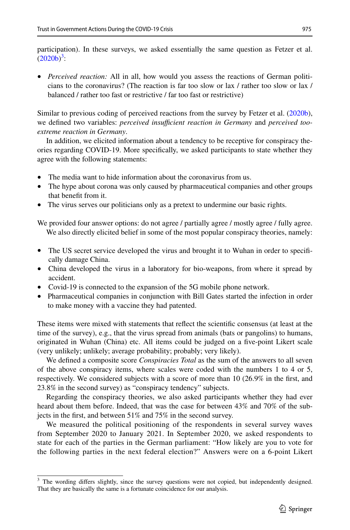participation). In these surveys, we asked essentially the same question as Fetzer et al.  $(2020b)^3$  $(2020b)^3$  $(2020b)^3$  $(2020b)^3$ :

• *Perceived reaction:* All in all, how would you assess the reactions of German politicians to the coronavirus? (The reaction is far too slow or lax / rather too slow or lax / balanced / rather too fast or restrictive / far too fast or restrictive)

Similar to previous coding of perceived reactions from the survey by Fetzer et al. [\(2020b](#page-21-21)), we defned two variables: *perceived insufcient reaction in Germany* and *perceived tooextreme reaction in Germany*.

In addition, we elicited information about a tendency to be receptive for conspiracy theories regarding COVID-19. More specifcally, we asked participants to state whether they agree with the following statements:

- The media want to hide information about the coronavirus from us.
- The hype about corona was only caused by pharmaceutical companies and other groups that beneft from it.
- The virus serves our politicians only as a pretext to undermine our basic rights.

We provided four answer options: do not agree / partially agree / mostly agree / fully agree. We also directly elicited belief in some of the most popular conspiracy theories, namely:

- The US secret service developed the virus and brought it to Wuhan in order to specifically damage China.
- China developed the virus in a laboratory for bio-weapons, from where it spread by accident.
- Covid-19 is connected to the expansion of the 5G mobile phone network.
- Pharmaceutical companies in conjunction with Bill Gates started the infection in order to make money with a vaccine they had patented.

These items were mixed with statements that refect the scientifc consensus (at least at the time of the survey), e.g., that the virus spread from animals (bats or pangolins) to humans, originated in Wuhan (China) etc. All items could be judged on a fve-point Likert scale (very unlikely; unlikely; average probability; probably; very likely).

We defned a composite score *Conspiracies Total* as the sum of the answers to all seven of the above conspiracy items, where scales were coded with the numbers 1 to 4 or 5, respectively. We considered subjects with a score of more than 10 (26.9% in the frst, and 23.8% in the second survey) as "conspiracy tendency" subjects.

Regarding the conspiracy theories, we also asked participants whether they had ever heard about them before. Indeed, that was the case for between 43% and 70% of the subjects in the frst, and between 51% and 75% in the second survey.

We measured the political positioning of the respondents in several survey waves from September 2020 to January 2021. In September 2020, we asked respondents to state for each of the parties in the German parliament: "How likely are you to vote for the following parties in the next federal election?" Answers were on a 6-point Likert

<span id="page-8-0"></span><sup>&</sup>lt;sup>3</sup> The wording differs slightly, since the survey questions were not copied, but independently designed. That they are basically the same is a fortunate coincidence for our analysis.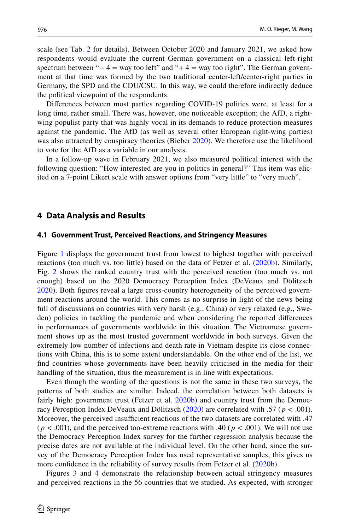scale (see Tab. [2](#page-5-0) for details). Between October 2020 and January 2021, we asked how respondents would evaluate the current German government on a classical left-right spectrum between " $-4$  = way too left" and " $+4$  = way too right". The German government at that time was formed by the two traditional center-left/center-right parties in Germany, the SPD and the CDU/CSU. In this way, we could therefore indirectly deduce the political viewpoint of the respondents.

Diferences between most parties regarding COVID-19 politics were, at least for a long time, rather small. There was, however, one noticeable exception; the AfD, a rightwing populist party that was highly vocal in its demands to reduce protection measures against the pandemic. The AfD (as well as several other European right-wing parties) was also attracted by conspiracy theories (Bieber [2020](#page-20-7)). We therefore use the likelihood to vote for the AfD as a variable in our analysis.

In a follow-up wave in February 2021, we also measured political interest with the following question: "How interested are you in politics in general?" This item was elicited on a 7-point Likert scale with answer options from "very little" to "very much".

## <span id="page-9-0"></span>**4 Data Analysis and Results**

#### **4.1 Government Trust, Perceived Reactions, and Stringency Measures**

Figure [1](#page-10-0) displays the government trust from lowest to highest together with perceived reactions (too much vs. too little) based on the data of Fetzer et al. ([2020b\)](#page-21-21). Similarly, Fig. [2](#page-11-0) shows the ranked country trust with the perceived reaction (too much vs. not enough) based on the 2020 Democracy Perception Index (DeVeaux and Dölitzsch [2020](#page-21-25)). Both fgures reveal a large cross-country heterogeneity of the perceived government reactions around the world. This comes as no surprise in light of the news being full of discussions on countries with very harsh (e.g., China) or very relaxed (e.g., Sweden) policies in tackling the pandemic and when considering the reported diferences in performances of governments worldwide in this situation. The Vietnamese government shows up as the most trusted government worldwide in both surveys. Given the extremely low number of infections and death rate in Vietnam despite its close connections with China, this is to some extent understandable. On the other end of the list, we fnd countries whose governments have been heavily criticised in the media for their handling of the situation, thus the measurement is in line with expectations.

Even though the wording of the questions is not the same in these two surveys, the patterns of both studies are similar. Indeed, the correlation between both datasets is fairly high: government trust (Fetzer et al. [2020b\)](#page-21-21) and country trust from the Democracy Perception Index DeVeaux and Dölitzsch [\(2020\)](#page-21-25) are correlated with .57 ( *p <* .001). Moreover, the perceived insufficient reactions of the two datasets are correlated with .47  $(p < .001)$ , and the perceived too-extreme reactions with .40  $(p < .001)$ . We will not use the Democracy Perception Index survey for the further regression analysis because the precise dates are not available at the individual level. On the other hand, since the survey of the Democracy Perception Index has used representative samples, this gives us more confidence in the reliability of survey results from Fetzer et al. ([2020b\)](#page-21-21).

Figures [3](#page-12-0) and [4](#page-12-1) demonstrate the relationship between actual stringency measures and perceived reactions in the 56 countries that we studied. As expected, with stronger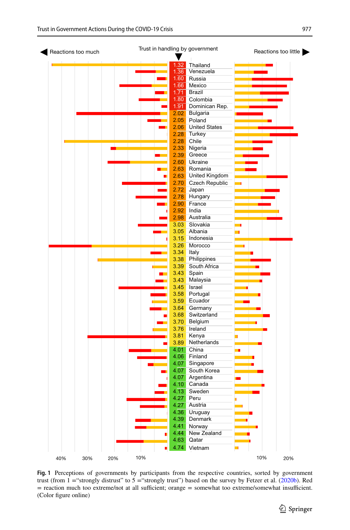

<span id="page-10-0"></span>Fig. 1 Perceptions of governments by participants from the respective countries, sorted by government trust (from  $1 =$ "strongly distrust" to  $5 =$ "strongly trust") based on the survey by Fetzer et al. ([2020b\)](#page-21-21). Red = reaction much too extreme/not at all sufficient; orange = somewhat too extreme/somewhat insufficient. (Color fgure online)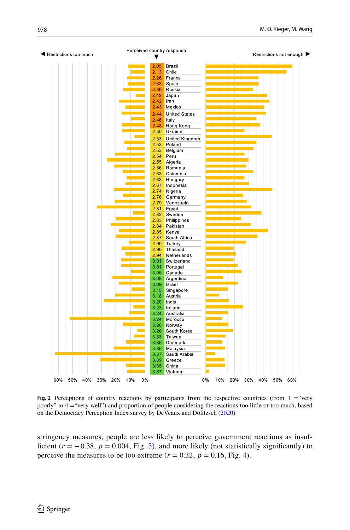

<span id="page-11-0"></span>**Fig. 2** Perceptions of country reactions by participants from the respective countries (from  $1 =$ "very poorly" to 4 ="very well") and proportion of people considering the reactions too little or too much, based on the Democracy Perception Index survey by DeVeaux and Dölitzsch ([2020\)](#page-21-25)

stringency measures, people are less likely to perceive government reactions as insufficient  $(r = -0.38, p = 0.004, Fig. 3)$  $(r = -0.38, p = 0.004, Fig. 3)$  $(r = -0.38, p = 0.004, Fig. 3)$ , and more likely (not statistically significantly) to perceive the measures to be too extreme ( $r = 0.32$ ,  $p = 0.16$ , Fig. [4\)](#page-12-1).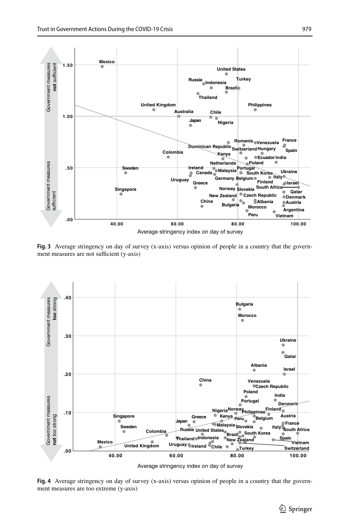

<span id="page-12-0"></span>**Fig. 3** Average stringency on day of survey (x-axis) versus opinion of people in a country that the government measures are not sufficient (y-axis)



Average stringency index on day of survey

<span id="page-12-1"></span>**Fig. 4** Average stringency on day of survey (x-axis) versus opinion of people in a country that the government measures are too extreme (y-axis)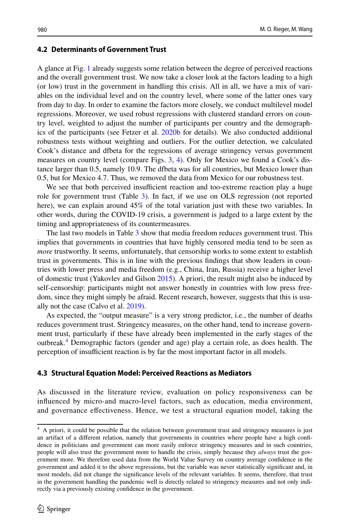## **4.2 Determinants of Government Trust**

A glance at Fig. [1](#page-10-0) already suggests some relation between the degree of perceived reactions and the overall government trust. We now take a closer look at the factors leading to a high (or low) trust in the government in handling this crisis. All in all, we have a mix of variables on the individual level and on the country level, where some of the latter ones vary from day to day. In order to examine the factors more closely, we conduct multilevel model regressions. Moreover, we used robust regressions with clustered standard errors on country level, weighted to adjust the number of participants per country and the demographics of the participants (see Fetzer et al. [2020b](#page-21-21) for details). We also conducted additional robustness tests without weighting and outliers. For the outlier detection, we calculated Cook's distance and dfbeta for the regressions of average stringency versus government measures on country level (compare Figs. [3](#page-12-0), [4](#page-12-1)). Only for Mexico we found a Cook's distance larger than 0.5, namely 10.9. The dfbeta was for all countries, but Mexico lower than 0.5, but for Mexico 4.7. Thus, we removed the data from Mexico for our robustness test.

We see that both perceived insufficient reaction and too-extreme reaction play a huge role for government trust (Table [3](#page-14-0)). In fact, if we use on OLS regression (not reported here), we can explain around 45% of the total variation just with these two variables. In other words, during the COVID-19 crisis, a government is judged to a large extent by the timing and appropriateness of its countermeasures.

The last two models in Table [3](#page-14-0) show that media freedom reduces government trust. This implies that governments in countries that have highly censored media tend to be seen as *more* trustworthy. It seems, unfortunately, that censorship works to some extent to establish trust in governments. This is in line with the previous fndings that show leaders in countries with lower press and media freedom (e.g., China, Iran, Russia) receive a higher level of domestic trust (Yakovlev and Gilson [2015\)](#page-22-1). A priori, the result might also be induced by self-censorship: participants might not answer honestly in countries with low press freedom, since they might simply be afraid. Recent research, however, suggests that this is usually not the case (Calvo et al. [2019\)](#page-20-8).

As expected, the "output measure" is a very strong predictor, i.e., the number of deaths reduces government trust. Stringency measures, on the other hand, tend to increase government trust, particularly if these have already been implemented in the early stages of the outbreak.<sup>4</sup> Demographic factors (gender and age) play a certain role, as does health. The perception of insufficient reaction is by far the most important factor in all models.

### **4.3 Structural Equation Model: Perceived Reactions as Mediators**

As discussed in the literature review, evaluation on policy responsiveness can be infuenced by micro-and macro-level factors, such as education, media environment, and governance efectiveness. Hence, we test a structural equation model, taking the

<span id="page-13-0"></span><sup>&</sup>lt;sup>4</sup> A priori, it could be possible that the relation between government trust and stringency measures is just an artifact of a diferent relation, namely that governments in countries where people have a high confdence in politicians and government can more easily enforce stringency measures and in such countries, people will also trust the government more to handle the crisis, simply because they *always* trust the government more. We therefore used data from the World Value Survey on country average confdence in the government and added it to the above regressions, but the variable was never statistically signifcant and, in most models, did not change the signifcance levels of the relevant variables. It seems, therefore, that trust in the government handling the pandemic well is directly related to stringency measures and not only indirectly via a previously existing confdence in the government.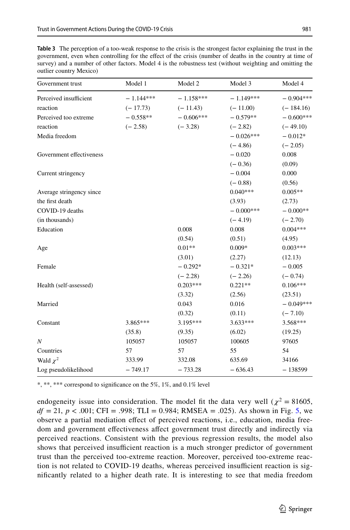<span id="page-14-0"></span>

| <b>Table 3</b> The perception of a too-weak response to the crisis is the strongest factor explaining the trust in the |  |
|------------------------------------------------------------------------------------------------------------------------|--|
| government, even when controlling for the effect of the crisis (number of deaths in the country at time of             |  |
| survey) and a number of other factors. Model 4 is the robustness test (without weighting and omitting the              |  |
| outlier country Mexico)                                                                                                |  |

| Government trust         | Model 1     | Model 2     | Model 3     | Model 4     |
|--------------------------|-------------|-------------|-------------|-------------|
| Perceived insufficient   | $-1.144***$ | $-1.158***$ | $-1.149***$ | $-0.904***$ |
| reaction                 | $(-17.73)$  | $(-11.43)$  | $(-11.00)$  | $(-184.16)$ |
| Perceived too extreme    | $-0.558**$  | $-0.606***$ | $-0.579**$  | $-0.600***$ |
| reaction                 | $(-2.58)$   | $(-3.28)$   | $(-2.82)$   | $(-49.10)$  |
| Media freedom            |             |             | $-0.026***$ | $-0.012*$   |
|                          |             |             | $(-4.86)$   | $(-2.05)$   |
| Government effectiveness |             |             | $-0.020$    | 0.008       |
|                          |             |             | $(-0.36)$   | (0.09)      |
| Current stringency       |             |             | $-0.004$    | 0.000       |
|                          |             |             | $(-0.88)$   | (0.56)      |
| Average stringency since |             |             | $0.040***$  | $0.005**$   |
| the first death          |             |             | (3.93)      | (2.73)      |
| COVID-19 deaths          |             |             | $-0.000***$ | $-0.000**$  |
| (in thousands)           |             |             | $(-4.19)$   | $(-2.70)$   |
| Education                |             | 0.008       | 0.008       | $0.004***$  |
|                          |             | (0.54)      | (0.51)      | (4.95)      |
| Age                      |             | $0.01**$    | $0.009*$    | $0.003***$  |
|                          |             | (3.01)      | (2.27)      | (12.13)     |
| Female                   |             | $-0.292*$   | $-0.321*$   | $-0.005$    |
|                          |             | $(-2.28)$   | $(-2.26)$   | $(-0.74)$   |
| Health (self-assessed)   |             | $0.203***$  | $0.221**$   | $0.106***$  |
|                          |             | (3.32)      | (2.56)      | (23.51)     |
| Married                  |             | 0.043       | 0.016       | $-0.049***$ |
|                          |             | (0.32)      | (0.11)      | $(-7.10)$   |
| Constant                 | 3.865***    | 3.195***    | 3.633***    | 3.568***    |
|                          | (35.8)      | (9.35)      | (6.02)      | (19.25)     |
| $\boldsymbol{N}$         | 105057      | 105057      | 100605      | 97605       |
| Countries                | 57          | 57          | 55          | 54          |
| Wald $\chi^2$            | 333.99      | 332.08      | 635.69      | 34166       |
| Log pseudolikelihood     | $-749.17$   | $-733.28$   | $-636.43$   | $-138599$   |

\*, \*\*, \*\*\* correspond to signifcance on the 5%, 1%, and 0.1% level

endogeneity issue into consideration. The model fit the data very well ( $\chi^2$  = 81605,  $df = 21$ ,  $p < .001$ ; CFI = .998; TLI = 0.984; RMSEA = .02[5](#page-15-0)). As shown in Fig. 5, we observe a partial mediation efect of perceived reactions, i.e., education, media freedom and government efectiveness afect government trust directly and indirectly via perceived reactions. Consistent with the previous regression results, the model also shows that perceived insufficient reaction is a much stronger predictor of government trust than the perceived too-extreme reaction. Moreover, perceived too-extreme reaction is not related to COVID-19 deaths, whereas perceived insufficient reaction is signifcantly related to a higher death rate. It is interesting to see that media freedom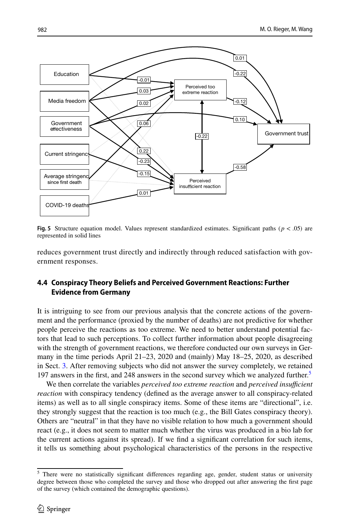

<span id="page-15-0"></span>**Fig. 5** Structure equation model. Values represent standardized estimates. Significant paths ( $p < .05$ ) are represented in solid lines

reduces government trust directly and indirectly through reduced satisfaction with government responses.

# **4.4 Conspiracy Theory Beliefs and Perceived Government Reactions: Further Evidence from Germany**

It is intriguing to see from our previous analysis that the concrete actions of the government and the performance (proxied by the number of deaths) are not predictive for whether people perceive the reactions as too extreme. We need to better understand potential factors that lead to such perceptions. To collect further information about people disagreeing with the strength of government reactions, we therefore conducted our own surveys in Germany in the time periods April 21–23, 2020 and (mainly) May 18–25, 2020, as described in Sect. [3.](#page-4-0) After removing subjects who did not answer the survey completely, we retained 197 answers in the first, and 248 answers in the second survey which we analyzed further.<sup>[5](#page-15-1)</sup>

We then correlate the variables *perceived too extreme reaction* and *perceived insufficient reaction* with conspiracy tendency (defned as the average answer to all conspiracy-related items) as well as to all single conspiracy items. Some of these items are "directional", i.e. they strongly suggest that the reaction is too much (e.g., the Bill Gates conspiracy theory). Others are "neutral" in that they have no visible relation to how much a government should react (e.g., it does not seem to matter much whether the virus was produced in a bio lab for the current actions against its spread). If we fnd a signifcant correlation for such items, it tells us something about psychological characteristics of the persons in the respective

<span id="page-15-1"></span><sup>&</sup>lt;sup>5</sup> There were no statistically significant differences regarding age, gender, student status or university degree between those who completed the survey and those who dropped out after answering the frst page of the survey (which contained the demographic questions).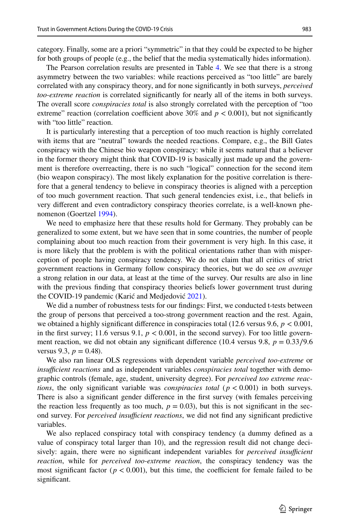category. Finally, some are a priori "symmetric" in that they could be expected to be higher for both groups of people (e.g., the belief that the media systematically hides information).

The Pearson correlation results are presented in Table [4.](#page-17-0) We see that there is a strong asymmetry between the two variables: while reactions perceived as "too little" are barely correlated with any conspiracy theory, and for none signifcantly in both surveys, *perceived too-extreme reaction* is correlated signifcantly for nearly all of the items in both surveys. The overall score *conspiracies total* is also strongly correlated with the perception of "too extreme" reaction (correlation coefficient above 30% and  $p < 0.001$ ), but not significantly with "too little" reaction.

It is particularly interesting that a perception of too much reaction is highly correlated with items that are "neutral" towards the needed reactions. Compare, e.g., the Bill Gates conspiracy with the Chinese bio weapon conspiracy: while it seems natural that a believer in the former theory might think that COVID-19 is basically just made up and the government is therefore overreacting, there is no such "logical" connection for the second item (bio weapon conspiracy). The most likely explanation for the positive correlation is therefore that a general tendency to believe in conspiracy theories is aligned with a perception of too much government reaction. That such general tendencies exist, i.e., that beliefs in very diferent and even contradictory conspiracy theories correlate, is a well-known phenomenon (Goertzel [1994\)](#page-21-16).

We need to emphasize here that these results hold for Germany. They probably can be generalized to some extent, but we have seen that in some countries, the number of people complaining about too much reaction from their government is very high. In this case, it is more likely that the problem is with the political orientations rather than with misperception of people having conspiracy tendency. We do not claim that all critics of strict government reactions in Germany follow conspiracy theories, but we do see *on average* a strong relation in our data, at least at the time of the survey. Our results are also in line with the previous fnding that conspiracy theories beliefs lower government trust during the COVID-19 pandemic (Karić and Medjedović [2021](#page-21-19)).

We did a number of robustness tests for our fndings: First, we conducted t-tests between the group of persons that perceived a too-strong government reaction and the rest. Again, we obtained a highly signifcant diference in conspiracies total (12.6 versus 9.6, *p <* 0.001, in the first survey; 11.6 versus 9.1,  $p < 0.001$ , in the second survey). For too little government reaction, we did not obtain any significant difference (10.4 versus 9.8,  $p = 0.33/9.6$ ) versus 9.3,  $p = 0.48$ .

We also ran linear OLS regressions with dependent variable *perceived too-extreme* or *insufficient reactions* and as independent variables *conspiracies total* together with demographic controls (female, age, student, university degree). For *perceived too extreme reactions*, the only significant variable was *conspiracies total* ( $p < 0.001$ ) in both surveys. There is also a signifcant gender diference in the frst survey (with females perceiving the reaction less frequently as too much,  $p = 0.03$ ), but this is not significant in the second survey. For *perceived insufficient reactions*, we did not find any significant predictive variables.

We also replaced conspiracy total with conspiracy tendency (a dummy defned as a value of conspiracy total larger than 10), and the regression result did not change decisively: again, there were no significant independent variables for *perceived insufficient reaction*, while for *perceived too-extreme reaction*, the conspiracy tendency was the most significant factor ( $p < 0.001$ ), but this time, the coefficient for female failed to be signifcant.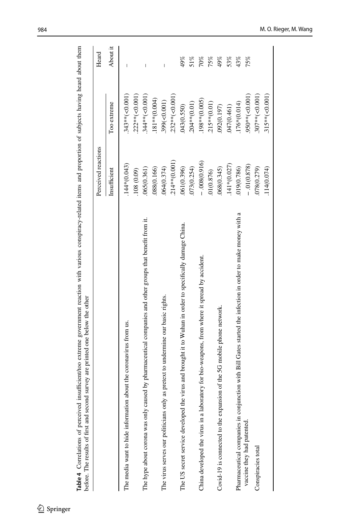| before. The results of first and second survey are printed one below the other                              |                     |                  |          |
|-------------------------------------------------------------------------------------------------------------|---------------------|------------------|----------|
|                                                                                                             | Perceived reactions |                  | Heard    |
|                                                                                                             | Insufficient        | Too extreme      | About it |
| about the coronavirus from us.<br>The media want to hide information                                        | $.144*(0.043)$      | $343**(-0.001)$  | I        |
|                                                                                                             | .108(0.09)          | 222**(<0.001)    |          |
| The hype about corona was only caused by pharmaceutical companies and other groups that benefit from it.    | 065(0.361)          | 344**(<0.001)    |          |
|                                                                                                             | 088(0.166)          | $181**$ (0.004)  |          |
| The virus serves our politicians only as pretext to undermine our basic rights.                             | 064(0.374)          | 399(<0.001)      |          |
|                                                                                                             | 214**(0.001)        | 232**(<0.001)    |          |
| The US secret service developed the virus and brought it to Wuhan in order to specifically damage China.    | 061(0.396)          | 043(0.550)       | 49%      |
|                                                                                                             | 073(0.254)          | 204**(0.01)      | 51%      |
| China developed the virus in a laboratory for bio-weapons, from where it spread by accident.                | $-0.008(0.916)$     | 198**(0.005)     | 70%      |
|                                                                                                             | 01(0.876)           | 215**(0.01)      | 75%      |
| Covid-19 is connected to the expansion of the 5G mobile phone network.                                      | 068(0.345)          | 092(0.197)       | 49%      |
|                                                                                                             | 141*(0.027)         | 047(0.461)       | 53%      |
| Pharmaceutical companies in conjunction with Bill Gates started the infection in order to make money with a | 019(0.786)          | 176*(0.014)      | 43%      |
| vaccine they had patented.                                                                                  | $-01(0.878)$        | 950**(<0.001)    | 75%      |
| Conspiracies total                                                                                          | 078(0.279)          | $307**(-0.001)$  |          |
|                                                                                                             | 114(0.074)          | $.315**(-0.001)$ |          |
|                                                                                                             |                     |                  |          |

Table 4 Correlations of perceived insufficient/too extreme government reaction with various conspiracy-related items and proportion of subjects having heard about them **Table 4** Correlations of perceived insufficient/too extreme government reaction with various conspiracy-related items and proportion of subjects having heard about them

<span id="page-17-0"></span> $\underline{\textcircled{\tiny 2}}$  Springer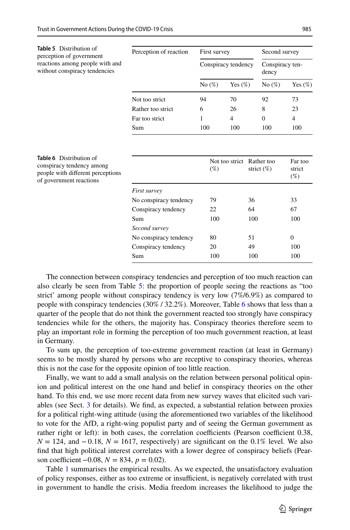<span id="page-18-0"></span>

| <b>Table 5</b> Distribution of<br>perception of government       | Perception of reaction | First survey |                     | Second survey            |            |
|------------------------------------------------------------------|------------------------|--------------|---------------------|--------------------------|------------|
| reactions among people with and<br>without conspiracy tendencies |                        |              | Conspiracy tendency | Conspiracy ten-<br>dency |            |
|                                                                  |                        | No $(\%)$    | Yes $(\%)$          | No $(\%)$                | Yes $(\%)$ |
|                                                                  | Not too strict         | 94           | 70                  | 92                       | 73         |
|                                                                  | Rather too strict      | 6            | 26                  | 8                        | 23         |
|                                                                  | Far too strict         |              | 4                   | $\Omega$                 | 4          |
|                                                                  | Sum                    | 100          | 100                 | 100                      | 100        |

<span id="page-18-1"></span>

| <b>Table 6</b> Distribution of<br>conspiracy tendency among<br>people with different perceptions<br>of government reactions |                        | Not too strict Rather too<br>$(\%)$ | strict $(\%)$ | Far too<br>strict<br>$(\%)$ |
|-----------------------------------------------------------------------------------------------------------------------------|------------------------|-------------------------------------|---------------|-----------------------------|
|                                                                                                                             | First survey           |                                     |               |                             |
|                                                                                                                             | No conspiracy tendency | 79                                  | 36            | 33                          |
|                                                                                                                             | Conspiracy tendency    | 22                                  | 64            | 67                          |
|                                                                                                                             | <b>Sum</b>             | 100                                 | 100           | 100                         |
|                                                                                                                             | Second survey          |                                     |               |                             |
|                                                                                                                             | No conspiracy tendency | 80                                  | 51            | $\theta$                    |
|                                                                                                                             | Conspiracy tendency    | 20                                  | 49            | 100                         |
|                                                                                                                             | Sum                    | 100                                 | 100           | 100                         |

The connection between conspiracy tendencies and perception of too much reaction can also clearly be seen from Table [5:](#page-18-0) the proportion of people seeing the reactions as "too strict' among people without conspiracy tendency is very low (7%/6.9%) as compared to people with conspiracy tendencies (30% / 32.2%). Moreover, Table [6](#page-18-1) shows that less than a quarter of the people that do not think the government reacted too strongly have conspiracy tendencies while for the others, the majority has. Conspiracy theories therefore seem to play an important role in forming the perception of too much government reaction, at least in Germany.

To sum up, the perception of too-extreme government reaction (at least in Germany) seems to be mostly shared by persons who are receptive to conspiracy theories, whereas this is not the case for the opposite opinion of too little reaction.

Finally, we want to add a small analysis on the relation between personal political opinion and political interest on the one hand and belief in conspiracy theories on the other hand. To this end, we use more recent data from new survey waves that elicited such variables (see Sect. [3](#page-4-0) for details). We fnd, as expected, a substantial relation between proxies for a political right-wing attitude (using the aforementioned two variables of the likelihood to vote for the AfD, a right-wing populist party and of seeing the German government as rather right or left): in both cases, the correlation coefficients (Pearson coefficient 0.38,  $N = 124$ , and  $-0.18$ ,  $N = 1617$ , respectively) are significant on the 0.1% level. We also fnd that high political interest correlates with a lower degree of conspiracy beliefs (Pearson coefficient  $-0.08$ ,  $N = 834$ ,  $p = 0.02$ ).

Table [1](#page-2-0) summarises the empirical results. As we expected, the unsatisfactory evaluation of policy responses, either as too extreme or insufficient, is negatively correlated with trust in government to handle the crisis. Media freedom increases the likelihood to judge the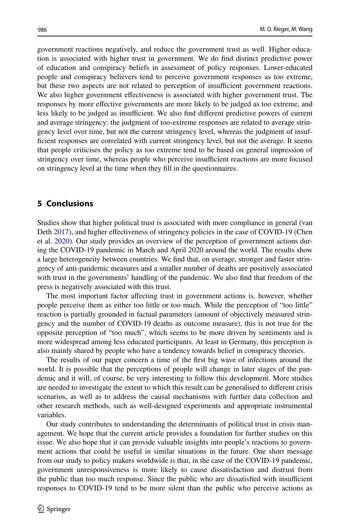government reactions negatively, and reduce the government trust as well. Higher education is associated with higher trust in government. We do fnd distinct predictive power of education and conspiracy beliefs in assessment of policy responses. Lower-educated people and conspiracy believers tend to perceive government responses as too extreme, but these two aspects are not related to perception of insufficient government reactions. We also higher government efectiveness is associated with higher government trust. The responses by more efective governments are more likely to be judged as too extreme, and less likely to be judged as insufficient. We also find different predictive powers of current and average stringency: the judgment of too-extreme responses are related to average stringency level over time, but not the current stringency level, whereas the judgment of insufficient responses are correlated with current stringency level, but not the average. It seems that people criticises the policy as too extreme tend to be based on general impression of stringency over time, whereas people who perceive insufficient reactions are more focused on stringency level at the time when they fll in the questionnaires.

## <span id="page-19-0"></span>**5 Conclusions**

Studies show that higher political trust is associated with more compliance in general (van Deth [2017\)](#page-22-3), and higher effectiveness of stringency policies in the case of COVID-19 (Chen et al. [2020](#page-20-9)). Our study provides an overview of the perception of government actions during the COVID-19 pandemic in March and April 2020 around the world. The results show a large heterogeneity between countries. We fnd that, on average, stronger and faster stringency of anti-pandemic measures and a smaller number of deaths are positively associated with trust in the governments' handling of the pandemic. We also fnd that freedom of the press is negatively associated with this trust.

The most important factor afecting trust in government actions is, however, whether people perceive them as either too little or too much. While the perception of "too little" reaction is partially grounded in factual parameters (amount of objectively measured stringency and the number of COVID-19 deaths as outcome measure), this is not true for the opposite perception of "too much", which seems to be more driven by sentiments and is more widespread among less educated participants. At least in Germany, this perception is also mainly shared by people who have a tendency towards belief in conspiracy theories.

The results of our paper concern a time of the frst big wave of infections around the world. It is possible that the perceptions of people will change in later stages of the pandemic and it will, of course, be very interesting to follow this development. More studies are needed to investigate the extent to which this result can be generalised to diferent crisis scenarios, as well as to address the causal mechanisms with further data collection and other research methods, such as well-designed experiments and appropriate instrumental variables.

Our study contributes to understanding the determinants of political trust in crisis management. We hope that the current article provides a foundation for further studies on this issue. We also hope that it can provide valuable insights into people's reactions to government actions that could be useful in similar situations in the future. One short message from our study to policy makers worldwide is that, in the case of the COVID-19 pandemic, government unresponsiveness is more likely to cause dissatisfaction and distrust from the public than too much response. Since the public who are dissatisfied with insufficient responses to COVID-19 tend to be more silent than the public who perceive actions as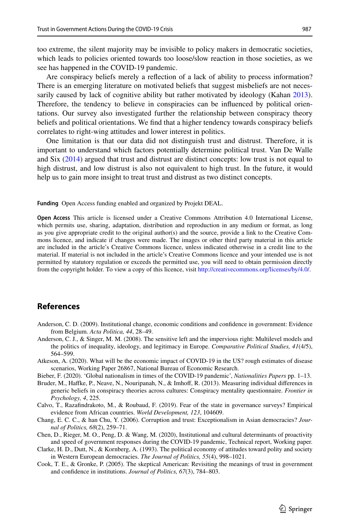too extreme, the silent majority may be invisible to policy makers in democratic societies, which leads to policies oriented towards too loose/slow reaction in those societies, as we see has happened in the COVID-19 pandemic.

Are conspiracy beliefs merely a refection of a lack of ability to process information? There is an emerging literature on motivated beliefs that suggest misbeliefs are not neces-sarily caused by lack of cognitive ability but rather motivated by ideology (Kahan [2013](#page-21-27)). Therefore, the tendency to believe in conspiracies can be infuenced by political orientations. Our survey also investigated further the relationship between conspiracy theory beliefs and political orientations. We fnd that a higher tendency towards conspiracy beliefs correlates to right-wing attitudes and lower interest in politics.

One limitation is that our data did not distinguish trust and distrust. Therefore, it is important to understand which factors potentially determine political trust. Van De Walle and Six ([2014\)](#page-21-28) argued that trust and distrust are distinct concepts: low trust is not equal to high distrust, and low distrust is also not equivalent to high trust. In the future, it would help us to gain more insight to treat trust and distrust as two distinct concepts.

**Funding** Open Access funding enabled and organized by Projekt DEAL.

**Open Access** This article is licensed under a Creative Commons Attribution 4.0 International License, which permits use, sharing, adaptation, distribution and reproduction in any medium or format, as long as you give appropriate credit to the original author(s) and the source, provide a link to the Creative Commons licence, and indicate if changes were made. The images or other third party material in this article are included in the article's Creative Commons licence, unless indicated otherwise in a credit line to the material. If material is not included in the article's Creative Commons licence and your intended use is not permitted by statutory regulation or exceeds the permitted use, you will need to obtain permission directly from the copyright holder. To view a copy of this licence, visit [http://creativecommons.org/licenses/by/4.0/.](http://creativecommons.org/licenses/by/4.0/)

# **References**

- <span id="page-20-5"></span>Anderson, C. D. (2009). Institutional change, economic conditions and confdence in government: Evidence from Belgium. *Acta Politica, 44*, 28–49.
- <span id="page-20-1"></span>Anderson, C. J., & Singer, M. M. (2008). The sensitive left and the impervious right: Multilevel models and the politics of inequality, ideology, and legitimacy in Europe. *Comparative Political Studies, 41*(4/5), 564–599.
- <span id="page-20-0"></span>Atkeson, A. (2020). What will be the economic impact of COVID-19 in the US? rough estimates of disease scenarios, Working Paper 26867, National Bureau of Economic Research.
- <span id="page-20-7"></span>Bieber, F. (2020). 'Global nationalism in times of the COVID-19 pandemic', *Nationalities Papers* pp. 1–13.
- <span id="page-20-4"></span>Bruder, M., Haffke, P., Neave, N., Nouripanah, N., & Imhoff, R. (2013). Measuring individual differences in generic beliefs in conspiracy theories across cultures: Conspiracy mentality questionnaire. *Frontier in Psychology, 4*, 225.
- <span id="page-20-8"></span>Calvo, T., Razafndrakoto, M., & Roubaud, F. (2019). Fear of the state in governance surveys? Empirical evidence from African countries. *World Development, 123*, 104609.
- <span id="page-20-3"></span>Chang, E. C. C., & han Chu, Y. (2006). Corruption and trust: Exceptionalism in Asian democracies? *Journal of Politics, 68*(2), 259–71.
- <span id="page-20-9"></span>Chen, D., Rieger, M. O., Peng, D. & Wang, M. (2020), Institutional and cultural determinants of proactivity and speed of government responses during the COVID-19 pandemic, Technical report, Working paper.
- <span id="page-20-6"></span>Clarke, H. D., Dutt, N., & Kornberg, A. (1993). The political economy of attitudes toward polity and society in Western European democracies. *The Journal of Politics, 55*(4), 998–1021.
- <span id="page-20-2"></span>Cook, T. E., & Gronke, P. (2005). The skeptical American: Revisiting the meanings of trust in government and confdence in institutions. *Journal of Politics, 67*(3), 784–803.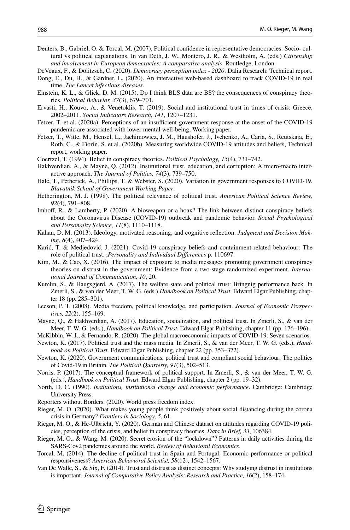- <span id="page-21-9"></span>Denters, B., Gabriel, O. & Torcal, M. (2007), Political confdence in representative democracies: Socio- cultural vs political explanations. In van Deth, J. W., Montero, J. R., & Westholm, A. (eds.) *Citizenship and involvement in European democracies: A comparative analysis*. Routledge, London.
- <span id="page-21-25"></span>DeVeaux, F., & Dölitzsch, C. (2020). *Democracy perception index - 2020*. Dalia Research: Technical report.
- <span id="page-21-26"></span>Dong, E., Du, H., & Gardner, L. (2020). An interactive web-based dashboard to track COVID-19 in real time. *The Lancet infectious diseases*.
- <span id="page-21-17"></span>Einstein, K. L., & Glick, D. M. (2015). Do I think BLS data are BS? the consequences of conspiracy theories. *Political Behavior, 37*(3), 679–701.
- <span id="page-21-8"></span>Ervasti, H., Kouvo, A., & Venetoklis, T. (2019). Social and institutional trust in times of crisis: Greece, 2002–2011. *Social Indicators Research, 141*, 1207–1231.
- <span id="page-21-22"></span>Fetzer, T. et al. (2020a). Perceptions of an insufficient government response at the onset of the COVID-19 pandemic are associated with lower mental well-being, Working paper.
- <span id="page-21-21"></span>Fetzer, T., Witte, M., Hensel, L., Jachimowicz, J. M., Haushofer, J., Ivchenko, A., Caria, S., Reutskaja, E., Roth, C., & Fiorin, S. et al. (2020b). Measuring worldwide COVID-19 attitudes and beliefs, Technical report, working paper.
- <span id="page-21-16"></span>Goertzel, T. (1994). Belief in conspiracy theories. *Political Psychology, 15*(4), 731–742.
- <span id="page-21-12"></span>Hakhverdian, A., & Mayne, Q. (2012). Institutional trust, education, and corruption: A micro-macro interactive approach. *The Journal of Politics, 74*(3), 739–750.
- <span id="page-21-2"></span>Hale, T., Petherick, A., Phillips, T. & Webster, S. (2020). Variation in government responses to COVID-19. *Blavatnik School of Government Working Paper*.
- <span id="page-21-11"></span>Hetherington, M. J. (1998). The political relevance of political trust. *American Political Science Review, 92*(4), 791–808.
- <span id="page-21-15"></span>Imhoff, R., & Lamberty, P. (2020). A bioweapon or a hoax? The link between distinct conspiracy beliefs about the Coronavirus Disease (COVID-19) outbreak and pandemic behavior. *Social Psychological and Personality Science, 11*(8), 1110–1118.
- <span id="page-21-27"></span>Kahan, D. M. (2013). Ideology, motivated reasoning, and cognitive refection. *Judgment and Decision Making, 8*(4), 407–424.
- <span id="page-21-19"></span>Karić, T. & Medjedović, J. (2021). Covid-19 conspiracy beliefs and containment-related behaviour: The role of political trust. ,*Personality and Individual Diferences* p. 110697.
- <span id="page-21-18"></span>Kim, M., & Cao, X. (2016). The impact of exposure to media messages promoting government conspiracy theories on distrust in the government: Evidence from a two-stage randomized experiment. *International Journal of Communication, 10*, 20.
- <span id="page-21-6"></span>Kumlin, S., & Haugsgjerd, A. (2017). The welfare state and political trust: Bringnig performance back. In Zmerli, S., & van der Meer, T. W. G. (eds.) *Handbook on Political Trust*. Edward Elgar Publishing, chapter 18 (pp. 285–301).
- <span id="page-21-13"></span>Leeson, P. T. (2008). Media freedom, political knowledge, and participation. *Journal of Economic Perspectives, 22*(2), 155–169.
- <span id="page-21-10"></span>Mayne, Q., & Hakhverdian, A. (2017). Education, socialization, and political trust. In Zmerli, S., & van der Meer, T. W. G. (eds.), *Handbook on Political Trust*. Edward Elgar Publishing, chapter 11 (pp. 176–196).
- <span id="page-21-1"></span>McKibbin, W. J., & Fernando, R. (2020). The global macroeconomic impacts of COVID-19: Seven scenarios.
- <span id="page-21-14"></span>Newton, K. (2017). Political trust and the mass media. In Zmerli, S., & van der Meer, T. W. G. (eds.), *Handbook on Political Trust*. Edward Elgar Publishing, chapter 22 (pp. 353–372).
- <span id="page-21-3"></span>Newton, K. (2020). Government communications, political trust and compliant social behaviour: The politics of Covid-19 in Britain. *The Political Quarterly, 91*(3), 502–513.
- <span id="page-21-4"></span>Norris, P. (2017). The conceptual framework of political support. In Zmerli, S., & van der Meer, T. W. G. (eds.), *Handbook on Political Trust*. Edward Elgar Publishing, chapter 2 (pp. 19–32).
- <span id="page-21-5"></span>North, D. C. (1990). *Institutions, institutional change and economic performance*. Cambridge: Cambridge University Press.
- <span id="page-21-24"></span>Reporters without Borders. (2020). World press freedom index.
- <span id="page-21-20"></span>Rieger, M. O. (2020). What makes young people think positively about social distancing during the corona crisis in Germany? *Frontiers in Sociology, 5*, 61.
- <span id="page-21-23"></span>Rieger, M. O., & He-Ulbricht, Y. (2020). German and Chinese dataset on attitudes regarding COVID-19 policies, perception of the crisis, and belief in conspiracy theories. *Data in Brief, 33*, 106384.
- <span id="page-21-0"></span>Rieger, M. O., & Wang, M. (2020). Secret erosion of the "lockdown"? Patterns in daily activities during the SARS-Cov2 pandemics around the world. *Review of Behavioral Economics*.
- <span id="page-21-7"></span>Torcal, M. (2014). The decline of political trust in Spain and Portugal: Economic performance or political responsiveness? *American Behavioral Scientist, 58*(12), 1542–1567.
- <span id="page-21-28"></span>Van De Walle, S., & Six, F. (2014). Trust and distrust as distinct concepts: Why studying distrust in institutions is important. *Journal of Comparative Policy Analysis: Research and Practice, 16*(2), 158–174.